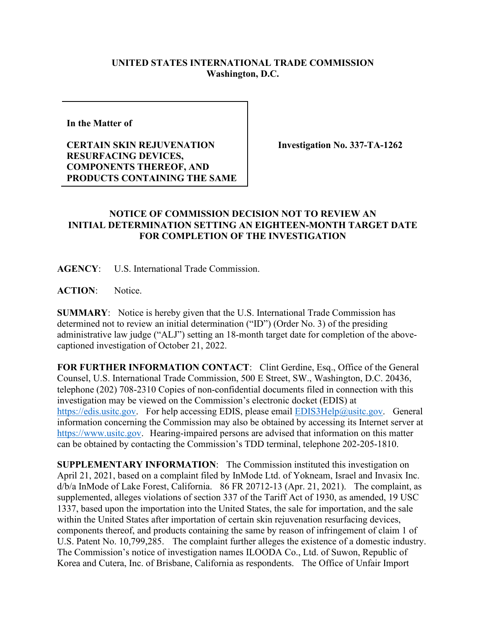## **UNITED STATES INTERNATIONAL TRADE COMMISSION Washington, D.C.**

**In the Matter of** 

## **CERTAIN SKIN REJUVENATION RESURFACING DEVICES, COMPONENTS THEREOF, AND PRODUCTS CONTAINING THE SAME**

**Investigation No. 337-TA-1262**

## **NOTICE OF COMMISSION DECISION NOT TO REVIEW AN INITIAL DETERMINATION SETTING AN EIGHTEEN-MONTH TARGET DATE FOR COMPLETION OF THE INVESTIGATION**

**AGENCY**: U.S. International Trade Commission.

**ACTION**: Notice.

**SUMMARY**: Notice is hereby given that the U.S. International Trade Commission has determined not to review an initial determination ("ID") (Order No. 3) of the presiding administrative law judge ("ALJ") setting an 18-month target date for completion of the abovecaptioned investigation of October 21, 2022.

FOR FURTHER INFORMATION CONTACT: Clint Gerdine, Esq., Office of the General Counsel, U.S. International Trade Commission, 500 E Street, SW., Washington, D.C. 20436, telephone (202) 708-2310 Copies of non-confidential documents filed in connection with this investigation may be viewed on the Commission's electronic docket (EDIS) at [https://edis.usitc.gov.](https://edis.usitc.gov/) For help accessing EDIS, please email [EDIS3Help@usitc.gov.](mailto:EDIS3Help@usitc.gov) General information concerning the Commission may also be obtained by accessing its Internet server at [https://www.usitc.gov.](https://www.usitc.gov/) Hearing-impaired persons are advised that information on this matter can be obtained by contacting the Commission's TDD terminal, telephone 202-205-1810.

**SUPPLEMENTARY INFORMATION**: The Commission instituted this investigation on April 21, 2021, based on a complaint filed by InMode Ltd. of Yokneam, Israel and Invasix Inc. d/b/a InMode of Lake Forest, California. 86 FR 20712-13 (Apr. 21, 2021). The complaint, as supplemented, alleges violations of section 337 of the Tariff Act of 1930, as amended, 19 USC 1337, based upon the importation into the United States, the sale for importation, and the sale within the United States after importation of certain skin rejuvenation resurfacing devices, components thereof, and products containing the same by reason of infringement of claim 1 of U.S. Patent No. 10,799,285.The complaint further alleges the existence of a domestic industry. The Commission's notice of investigation names ILOODA Co., Ltd. of Suwon, Republic of Korea and Cutera, Inc. of Brisbane, California as respondents. The Office of Unfair Import